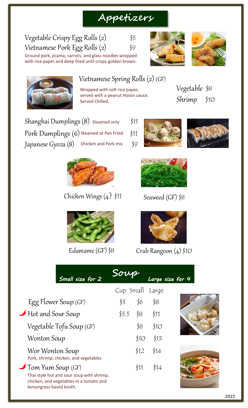# **Appetizers**





Vietnamese Spring Rolls (2) (GF)

Wrapped with soft rice paper, served with a peanut Hoisin sauce. Served Chilled.

Vegetable \$8 Shrimp \$10

Shanghai Dumplings (8) steamed only \$11  $\mathop{\mathsf{Pork}}\nolimits \mathop{\mathsf{Dumplings}}\nolimits \left( 6 \right)$  Steamed or Pan Fried  $\quad$  \$11 Japanese Gyoza  $(8)$  Chicken and Pork mix  $$9$ 

Vegetable Crispy Egg Rolls (2) \$5

Vietnamese Pork Egg Rolls (2) \$9

Ground pork, jicama, carrots, and glass noodles wrapped with rice paper and deep fried until crispy golden brown.



Chicken Wings (4) \$11



Edamame (GF) \$8







Seaweed (GF) \$8



Crab Rangoon (4) \$10

| Small size for 2                                                                                                |             |      |       | Large size for 4 |
|-----------------------------------------------------------------------------------------------------------------|-------------|------|-------|------------------|
|                                                                                                                 | $Cup$ Small |      | Large |                  |
| Egg Flower Soup (GF)                                                                                            | \$3         | \$6  | \$8   |                  |
| Hot and Sour Soup                                                                                               | \$3.5       | ≸8   | \$11  |                  |
| Vegetable Tofu Soup (GF)                                                                                        |             | \$8  | \$1O  |                  |
| Wonton Soup                                                                                                     |             | \$10 | \$13  |                  |
| Wor Wonton Soup<br>Pork, shrimp, chicken, and vegetables                                                        |             | \$12 | \$14  |                  |
| Tom Yum Soup (GF)                                                                                               |             | \$11 | \$14  |                  |
| Thai style hot and sour soup with shrimp,<br>chicken, and vegetables in a tomato and<br>lemongrass based broth. |             |      |       |                  |

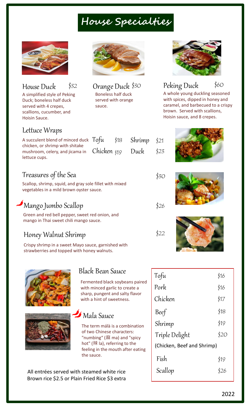# **House Specialties**



| House Duck                   | \$32 |
|------------------------------|------|
| A simplified style of Peking |      |
| Duck; boneless half duck     |      |
| served with 4 crepes,        |      |
| scallions, cucumber, and     |      |
| Hoisin Sauce.                |      |

Boneless half duck served with orange sauce.



House Duck Peking Duck \$32 \$60 Orange Duck \$<sup>30</sup> A whole young duckling seasoned with spices, dipped in honey and caramel, and barbecued to a crispy brown. Served with scallions,

Hoisin sauce, and 8 crepes.

#### Lettuce Wraps

| A succulent blend of minced duck Tofu \$18 Shrimp \$21<br>chicken, or shrimp with shitake |  |  |
|-------------------------------------------------------------------------------------------|--|--|
| mushroom, celery, and jicama in Chicken \$19 Duck \$23<br>lettuce cups.                   |  |  |
|                                                                                           |  |  |

### Treasures of the Sea

Scallop, shrimp, squid, and gray sole fillet with mixed vegetables in a mild brown oyster sauce.

### Mango Jumbo Scallop

Green and red bell pepper, sweet red onion, and mango in Thai sweet chili mango sauce.

### Honey Walnut Shrimp

Crispy shrimp in a sweet Mayo sauce, garnished with strawberries and topped with honey walnuts.





#### Black Bean Sauce

Fermented black soybeans paired with minced garlic to create a sharp, pungent and salty flavor with a hint of sweetness.

### Mala Sauce

The term málà is a combination of two Chinese characters: "numbing" (麻 ma) and "spicy hot" (辣 la), referring to the feeling in the mouth after eating the sauce.

All entrées served with steamed white rice Brown rice \$2.5 or Plain Fried Rice \$3 extra





\$30

\$22

\$26



| Tofu                       | \$16 |
|----------------------------|------|
| Pork                       | \$16 |
| Chicken                    | \$17 |
| Beef <sup>'</sup>          | \$18 |
| Shrimp                     | \$19 |
| Triple Delight             | \$20 |
| (Chicken, Beef and Shrimp) |      |
| Fish                       | \$19 |
| Scallop                    | \$26 |
|                            |      |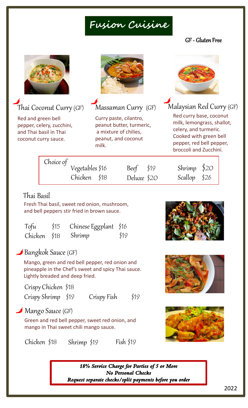# **Fusion Cuisine**

#### GF - Gluten Free



### Thai Coconut Curry (GF)

Red and green bell pepper, celery, zucchini, and Thai basil in Thai coconut curry sauce.



Massaman Curry (GF)

Curry paste, cilantro, peanut butter, turmeric, a mixture of chilies, peanut, and coconut milk.



### Malaysian Red Curry (GF)

Red curry base, coconut milk, lemongrass, shallot, celery, and turmeric. Cooked with green bell pepper, red bell pepper, broccoli and Zucchini.

| Choice of<br>Vegetables \$16 | Beef $$19$  | Shrimp $$20$  |
|------------------------------|-------------|---------------|
| Chicken \$18                 | Deluxe \$20 | Scallop $$26$ |

#### Thai Basil

Fresh Thai basil, sweet red onion, mushroom, and bell peppers stir fried in brown sauce.

| Tofu         | \$15 | Chinese Eggplant \$16 |      |
|--------------|------|-----------------------|------|
| Chicken \$18 |      | Shrimp                | \$19 |

#### Bangkok Sauce (GF)

Mango, green and red bell pepper, red onion and pineapple in the Chef's sweet and spicy Thai sauce. Lightly breaded and deep fried.

Crispy Chicken \$18

Crispy Shrimp \$19 Crispy Fish \$19

#### Mango Sauce (GF)

Green and red bell pepper, sweet red onion, and mango in Thai sweet chili mango sauce.

Chicken \$18 Shrimp \$19 Fish \$19







*18% Service Charge for Parties of 5 or More No Personal Checks Request separate checks/split payments before you order*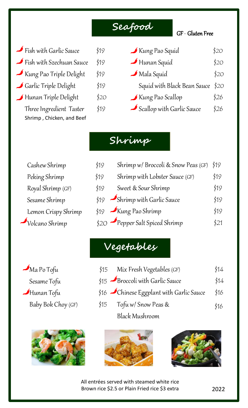### **Seafood**

#### GF - Gluten Free

- $\bullet$  Fish with Garlic Sauce  $\qquad \qquad$  \$19
- $\bullet$  Fish with Szechuan Sauce  $\phantom{1}$  \$19
- Kung Pao Triple Delight \$19
- Garlic Triple Delight \$19
- Hunan Triple Delight \$20

Three Ingredient Taster \$19 Shrimp , Chicken, and Beef

Kung Pao Squid \$20  $\rightarrow$  Hunan Squid  $$20$  $\longrightarrow$  Mala Squid \$20 Squid with Black Bean Sauce \$20  $\blacktriangleright$  Kung Pao Scallop \$26  $\blacktriangleright$  Scallop with Garlic Sauce  $\lessdot$  \$26

### **Shrimp**

Cashew Shrimp \$19 Peking Shrimp \$19 Royal Shrimp  $(GF)$ \$19 Sesame Shrimp Lemon Crispy Shrimp  $\gamma$ Volcano Shrimp

Shrimp w/ Broccoli & Snow Peas (GF) \$19 Shrimp with Lobster Sauce (GF) \$19 Sweet & Sour Shrimp \$19  $$19$  Shrimp with Garlic Sauce  $$19$  $$19$  Kung Pao Shrimp  $$19$  $$20$  Pepper Salt Spiced Shrimp  $$21$ 

Mix Fresh Vegetables (GF) \$14

\$15 Broccoli with Garlic Sauce \$14

\$16 Chinese Eggplant with Garlic Sauce \$16

# **Vegetables**

Tofu w/ Snow Peas & Baby Bok Choy (GF) \$15 \$16  $\bullet$  Ma Po Tofu  $\sharp$ 15 Sesame Tofu  $\blacktriangleright$ Hunan Tofu





Black Mushroom



All entrées served with steamed white rice Brown rice \$2.5 or Plain Fried rice \$3 extra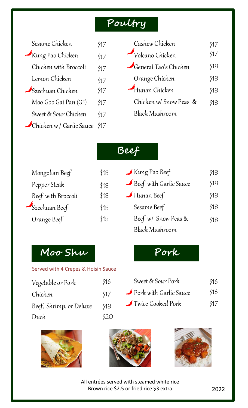### **Poultry**

Sesame Chicken \$17

| Kung Pao Chicken              | \$17 |
|-------------------------------|------|
| Chicken with Broccoli         | \$17 |
| Lemon Chicken                 | \$17 |
| $\mathcal{S}$ zechuan Chicken | \$17 |
| Moo Goo Gai Pan (GF)          | \$17 |
| Sweet & Sour Chicken          | \$17 |
| Chicken w / Garlic Sauce      | \$17 |

| Cashew Chicken                | \$17 |
|-------------------------------|------|
| $\rightarrow$ Volcano Chicken | \$17 |
| General Tao's Chicken         | \$18 |
| Orange Chicken                | \$18 |
| $\rightarrow$ Hunan Chicken   | \$18 |
| Chicken w/ Snow Peas &        | \$18 |
| <b>Black Mushroom</b>         |      |

| Mongolian Beef     | \$18 |
|--------------------|------|
| Pepper Steak       | \$18 |
| Beef with Broccoli | \$18 |
| Szechuan Beef      | \$18 |
| Orange Beef        | \$18 |

### **Beef**

| Kung Pao Beef                    | \$18 |
|----------------------------------|------|
| Beef with Garlic Sauce           | \$18 |
| $\blacktriangleright$ Hunan Beef | \$18 |
| Sesame Beef                      | \$18 |
| Beef w/ Snow Peas &              | \$18 |
| <b>Black Mushroom</b>            |      |

# **Moo Shu**

#### Served with 4 Crepes & Hoisin Sauce

| Vegetable or Pork       | \$16 |
|-------------------------|------|
| Chicken                 | \$17 |
| Beef, Shrimp, or Deluxe | \$18 |
| Duck                    | \$20 |

| Sweet & Sour Pork      | \$16 |
|------------------------|------|
| Pork with Garlic Sauce | \$16 |
| Twice Cooked Pork      | \$17 |

**Pork**







All entrées served with steamed white rice Brown rice \$2.5 or fried rice \$3 extra